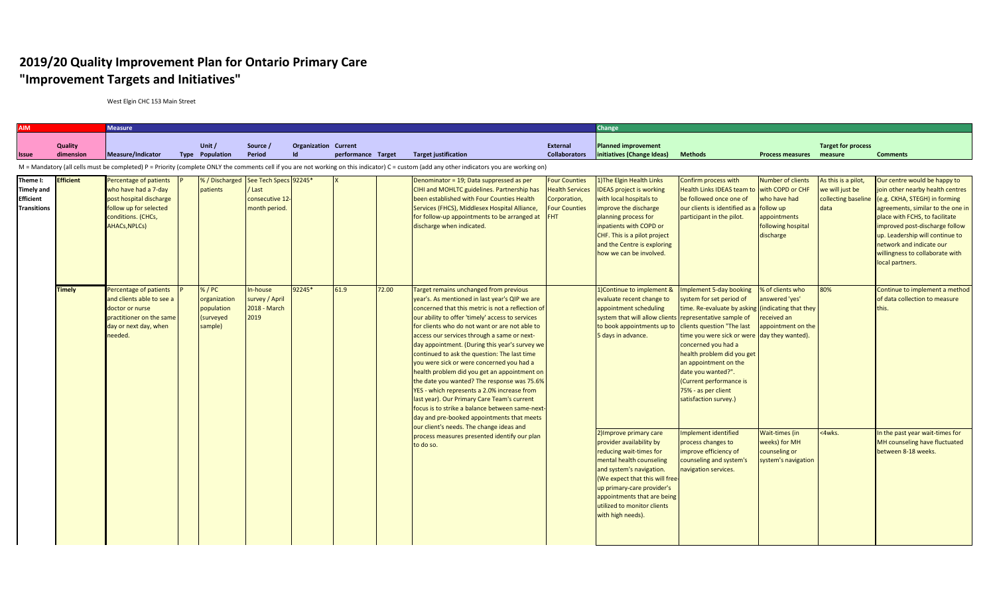## **2019/20 Quality Improvement Plan for Ontario Primary Care "Improvement Targets and Initiatives"**

West Elgin CHC 153 Main Street

|                                                                         |                      | <b>Measure</b>                                                                                                                                    |  |                                                           |                                                                                    |                                          |                    |       |                                                                                                                                                                                                                                                                                                                                                                                                                                                                                                                                                                                                                                                                                              |                                                                                                      |                                                                                                                                                                                                                                                                                            | Change                                                                                                                                                                                                                                                                                                                                                               |                                                                                                          |                                                                       |                                                                                                                                                                                                                                                                                                                                 |  |
|-------------------------------------------------------------------------|----------------------|---------------------------------------------------------------------------------------------------------------------------------------------------|--|-----------------------------------------------------------|------------------------------------------------------------------------------------|------------------------------------------|--------------------|-------|----------------------------------------------------------------------------------------------------------------------------------------------------------------------------------------------------------------------------------------------------------------------------------------------------------------------------------------------------------------------------------------------------------------------------------------------------------------------------------------------------------------------------------------------------------------------------------------------------------------------------------------------------------------------------------------------|------------------------------------------------------------------------------------------------------|--------------------------------------------------------------------------------------------------------------------------------------------------------------------------------------------------------------------------------------------------------------------------------------------|----------------------------------------------------------------------------------------------------------------------------------------------------------------------------------------------------------------------------------------------------------------------------------------------------------------------------------------------------------------------|----------------------------------------------------------------------------------------------------------|-----------------------------------------------------------------------|---------------------------------------------------------------------------------------------------------------------------------------------------------------------------------------------------------------------------------------------------------------------------------------------------------------------------------|--|
| Issue                                                                   | Quality<br>dimension | <b>Measure/Indicator</b>                                                                                                                          |  | Unit /<br><b>Type Population</b>                          | Source /<br>Period                                                                 | <b>Organization Current</b><br><b>Id</b> | performance Target |       | <b>Target justification</b>                                                                                                                                                                                                                                                                                                                                                                                                                                                                                                                                                                                                                                                                  | External<br><b>Collaborators</b>                                                                     | <b>Planned improvement</b><br>initiatives (Change Ideas)                                                                                                                                                                                                                                   | <b>Methods</b>                                                                                                                                                                                                                                                                                                                                                       | Process measures measure                                                                                 | <b>Target for process</b>                                             | <b>Comments</b>                                                                                                                                                                                                                                                                                                                 |  |
|                                                                         |                      |                                                                                                                                                   |  |                                                           |                                                                                    |                                          |                    |       | M = Mandatory (all cells must be completed) P = Priority (complete ONLY the comments cell if you are not working on this indicator) C = custom (add any other indicators you are working on)                                                                                                                                                                                                                                                                                                                                                                                                                                                                                                 |                                                                                                      |                                                                                                                                                                                                                                                                                            |                                                                                                                                                                                                                                                                                                                                                                      |                                                                                                          |                                                                       |                                                                                                                                                                                                                                                                                                                                 |  |
| Theme I:<br><b>Timely and</b><br><b>Efficient</b><br><b>Transitions</b> | <b>Efficient</b>     | Percentage of patients<br>who have had a 7-day<br>post hospital discharge<br>follow up for selected<br>conditions. (CHCs,<br><b>AHACs, NPLCs)</b> |  | patients                                                  | % / Discharged See Tech Specs 92245*<br>/ Last<br>consecutive 12-<br>month period. |                                          |                    |       | Denominator = 19; Data suppressed as per<br>CIHI and MOHLTC guidelines. Partnership has<br>been established with Four Counties Health<br>Services (FHCS), Middlesex Hospital Alliance,<br>for follow-up appointments to be arranged at<br>discharge when indicated.                                                                                                                                                                                                                                                                                                                                                                                                                          | <b>Four Counties</b><br><b>Health Services</b><br>Corporation,<br><b>Four Counties</b><br><b>FHT</b> | <b>The Elgin Health Links</b><br><b>IDEAS</b> project is working<br>with local hospitals to<br>mprove the discharge<br>planning process for<br>inpatients with COPD or<br>CHF. This is a pilot project<br>and the Centre is exploring<br>how we can be involved.                           | Confirm process with<br>Health Links IDEAS team to with COPD or CHF<br>be followed once one of<br>our clients is identified as a<br>participant in the pilot.                                                                                                                                                                                                        | <b>Number of clients</b><br>who have had<br>follow up<br>appointments<br>following hospital<br>discharge | As this is a pilot,<br>we will just be<br>collecting baseline<br>data | Our centre would be happy to<br>join other nearby health centres<br>(e.g. CKHA, STEGH) in forming<br>agreements, similar to the one in<br>place with FCHS, to facilitate<br>improved post-discharge follow<br>up. Leadership will continue to<br>network and indicate our<br>willingness to collaborate with<br>local partners. |  |
|                                                                         | <b>Timely</b>        | Percentage of patients<br>and clients able to see a<br>doctor or nurse<br>practitioner on the same<br>day or next day, when<br>needed.            |  | %/PC<br>organization<br>population<br>surveyed<br>sample) | In-house<br>survey / April<br><b>2018 - March</b><br>2019                          | 92245*                                   | 61.9               | 72.00 | Target remains unchanged from previous<br>year's. As mentioned in last year's QIP we are<br>concerned that this metric is not a reflection of<br>our ability to offer 'timely' access to services<br>for clients who do not want or are not able to<br>access our services through a same or next-<br>day appointment. (During this year's survey we<br>continued to ask the question: The last time<br>you were sick or were concerned you had a<br>health problem did you get an appointment on<br>the date you wanted? The response was 75.6%<br>YES - which represents a 2.0% increase from<br>last year). Our Primary Care Team's current<br>day and pre-booked appointments that meets |                                                                                                      | 1) Continue to implement &<br>evaluate recent change to<br>appointment scheduling<br>system that will allow clients representative sample of<br>to book appointments up to<br>5 days in advance.                                                                                           | mplement 5-day booking<br>system for set period of<br>time. Re-evaluate by asking (indicating that they<br>clients question "The last<br>time you were sick or were day they wanted).<br>concerned you had a<br>health problem did you get<br>an appointment on the<br>date you wanted?".<br>(Current performance is<br>75% - as per client<br>satisfaction survey.) | % of clients who<br>answered 'yes'<br>eceived an<br>appointment on the                                   | 80%                                                                   | Continue to implement a method<br>of data collection to measure<br>this.                                                                                                                                                                                                                                                        |  |
|                                                                         |                      |                                                                                                                                                   |  |                                                           |                                                                                    |                                          |                    |       | focus is to strike a balance between same-next-<br>our client's needs. The change ideas and<br>process measures presented identify our plan<br>to do so.                                                                                                                                                                                                                                                                                                                                                                                                                                                                                                                                     |                                                                                                      | 2) Improve primary care<br>provider availability by<br>reducing wait-times for<br>mental health counseling<br>and system's navigation.<br>(We expect that this will free-<br>up primary-care provider's<br>appointments that are being<br>utilized to monitor clients<br>with high needs). | mplement identified<br>process changes to<br>mprove efficiency of<br>counseling and system's<br>navigation services.                                                                                                                                                                                                                                                 | Wait-times (in<br>weeks) for MH<br>counseling or<br>system's navigation                                  | <4wks.                                                                | In the past year wait-times for<br>MH counseling have fluctuated<br>between 8-18 weeks.                                                                                                                                                                                                                                         |  |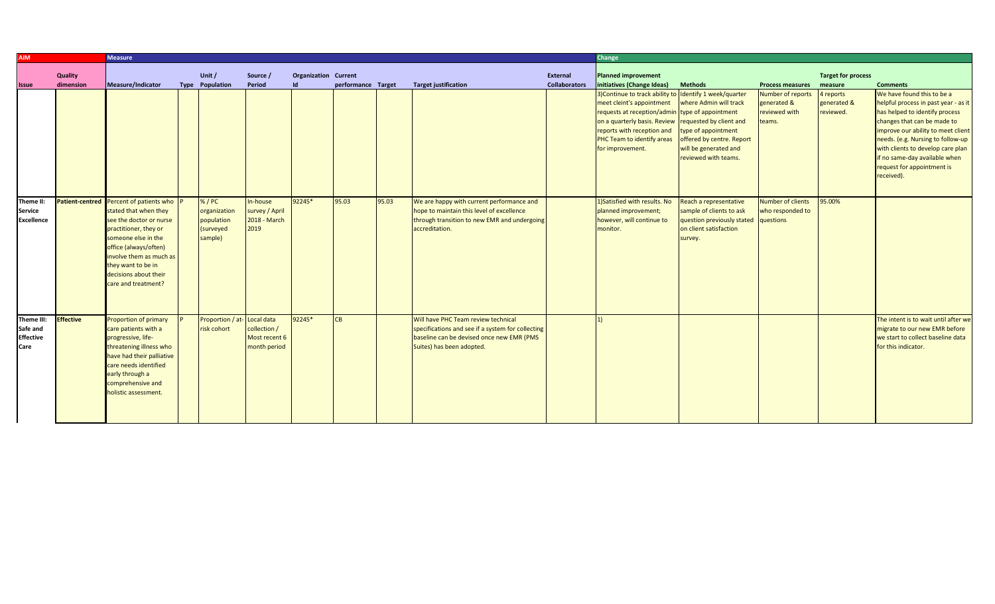| <b>AIM</b>                                         |                      | <b>Measure</b>                                                                                                                                                                                                              |                                                    |                                               |                                   |                    |       | Change                                                                                                                                                             |                                  |                                                                                                                                                                                                                                                                                                                  |                                                                                                                                                       |                                                                                  |                                                 |                                                                                                                                                                                                                                                                                                                                  |
|----------------------------------------------------|----------------------|-----------------------------------------------------------------------------------------------------------------------------------------------------------------------------------------------------------------------------|----------------------------------------------------|-----------------------------------------------|-----------------------------------|--------------------|-------|--------------------------------------------------------------------------------------------------------------------------------------------------------------------|----------------------------------|------------------------------------------------------------------------------------------------------------------------------------------------------------------------------------------------------------------------------------------------------------------------------------------------------------------|-------------------------------------------------------------------------------------------------------------------------------------------------------|----------------------------------------------------------------------------------|-------------------------------------------------|----------------------------------------------------------------------------------------------------------------------------------------------------------------------------------------------------------------------------------------------------------------------------------------------------------------------------------|
| <b>Issue</b>                                       | Quality<br>dimension | Measure/Indicator                                                                                                                                                                                                           | Unit /<br><b>Type Population</b>                   | Source /<br>Period                            | <b>Organization Current</b><br>Id | performance Target |       | <b>Target justification</b>                                                                                                                                        | External<br><b>Collaborators</b> | <b>Planned improvement</b><br>initiatives (Change Ideas)                                                                                                                                                                                                                                                         | <b>Methods</b>                                                                                                                                        | <b>Process measures</b>                                                          | <b>Target for process</b><br>measure            | <b>Comments</b>                                                                                                                                                                                                                                                                                                                  |
| Theme II:                                          |                      | Patient-centred Percent of patients who                                                                                                                                                                                     | % / PC                                             | In-house                                      | 92245*                            | 95.03              | 95.03 | We are happy with current performance and                                                                                                                          |                                  | 3) Continue to track ability to Identify 1 week/quarter<br>meet cleint's appointment<br>requests at reception/admin type of appointment<br>on a quarterly basis. Review requested by client and<br>reports with reception and<br>PHC Team to identify areas<br>for improvement.<br>1) Satisfied with results. No | where Admin will track<br>type of appointment<br>offered by centre. Report<br>will be generated and<br>reviewed with teams.<br>Reach a representative | Number of reports<br>generated &<br>reviewed with<br>teams.<br>Number of clients | 4 reports<br>generated &<br>reviewed.<br>95.00% | We have found this to be a<br>helpful process in past year - as it<br>has helped to identify process<br>changes that can be made to<br>improve our ability to meet client<br>needs. (e.g. Nursing to follow-up<br>with clients to develop care plan<br>if no same-day available when<br>request for appointment is<br>received). |
| Service<br><b>Excellence</b>                       |                      | stated that when they<br>see the doctor or nurse<br>practitioner, they or<br>someone else in the<br>office (always/often)<br>involve them as much as<br>they want to be in<br>decisions about their<br>care and treatment?  | organization<br>population<br>(surveyed<br>sample) | survey / April<br>2018 - March<br>2019        |                                   |                    |       | hope to maintain this level of excellence<br>through transition to new EMR and undergoing<br>accreditation.                                                        |                                  | planned improvement;<br>however, will continue to<br>monitor.                                                                                                                                                                                                                                                    | sample of clients to ask<br>question previously stated questions<br>on client satisfaction<br>survey.                                                 | who responded to                                                                 |                                                 |                                                                                                                                                                                                                                                                                                                                  |
| Theme III:<br>Safe and<br><b>Effective</b><br>Care | <b>Effective</b>     | <b>Proportion of primary</b><br>care patients with a<br>progressive, life-<br>threatening illness who<br>have had their palliative<br>care needs identified<br>early through a<br>comprehensive and<br>holistic assessment. | Proportion / at-Local data<br>risk cohort          | collection /<br>Most recent 6<br>month period | 92245*                            | <b>CB</b>          |       | Will have PHC Team review technical<br>specifications and see if a system for collecting<br>baseline can be devised once new EMR (PMS<br>Suites) has been adopted. |                                  | 1)                                                                                                                                                                                                                                                                                                               |                                                                                                                                                       |                                                                                  |                                                 | The intent is to wait until after we<br>migrate to our new EMR before<br>we start to collect baseline data<br>for this indicator.                                                                                                                                                                                                |